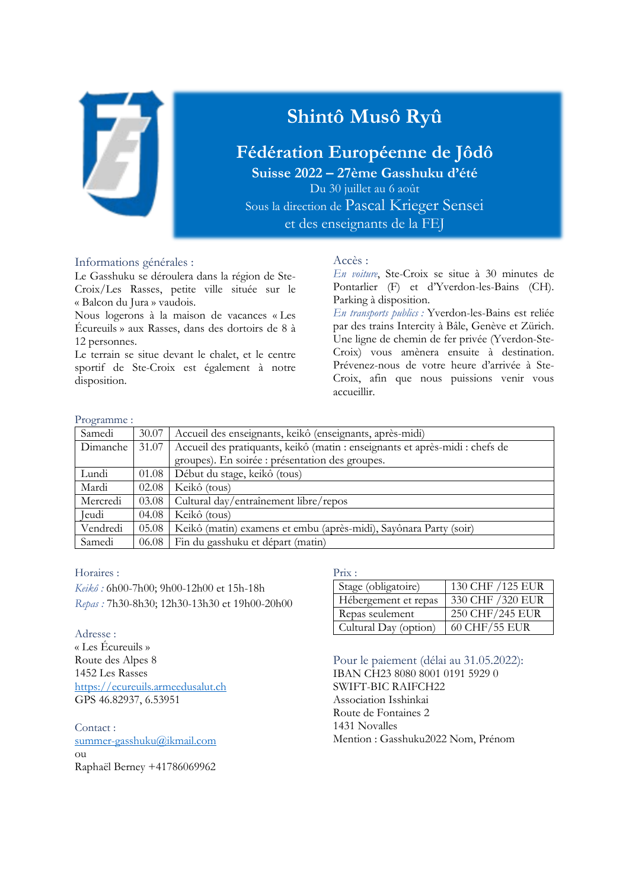

# **Shintô Musô Ryû**

# **Fédération Européenne de Jôdô**

**Suisse 2022 – 27ème Gasshuku d'été** Du 30 juillet au 6 août Sous la direction de Pascal Krieger Sensei

et des enseignants de la FEJ

### Informations générales :

Le Gasshuku se déroulera dans la région de Ste-Croix/Les Rasses, petite ville située sur le « Balcon du Jura » vaudois.

Nous logerons à la maison de vacances « Les Écureuils » aux Rasses, dans des dortoirs de 8 à 12 personnes.

Le terrain se situe devant le chalet, et le centre sportif de Ste-Croix est également à notre disposition.

# Accès :

*En voiture*, Ste-Croix se situe à 30 minutes de Pontarlier (F) et d'Yverdon-les-Bains (CH). Parking à disposition.

*En transports publics :* Yverdon-les-Bains est reliée par des trains Intercity à Bâle, Genève et Zürich. Une ligne de chemin de fer privée (Yverdon-Ste-Croix) vous amènera ensuite à destination. Prévenez-nous de votre heure d'arrivée à Ste-Croix, afin que nous puissions venir vous accueillir.

### Programme :

| Samedi   | 30.07 | Accueil des enseignants, keikô (enseignants, après-midi)                     |  |
|----------|-------|------------------------------------------------------------------------------|--|
| Dimanche | 31.07 | Accueil des pratiquants, keikô (matin : enseignants et après-midi : chefs de |  |
|          |       | groupes). En soirée : présentation des groupes.                              |  |
| Lundi    | 01.08 | Début du stage, keikô (tous)                                                 |  |
| Mardi    | 02.08 | Keikô (tous)                                                                 |  |
| Mercredi | 03.08 | Cultural day/entraînement libre/repos                                        |  |
| Jeudi    | 04.08 | Keikô (tous)                                                                 |  |
| Vendredi | 05.08 | Keikô (matin) examens et embu (après-midi), Sayônara Party (soir)            |  |
| Samedi   | 06.08 | Fin du gasshuku et départ (matin)                                            |  |

### Horaires :

*Keikô :* 6h00-7h00; 9h00-12h00 et 15h-18h *Repas :* 7h30-8h30; 12h30-13h30 et 19h00-20h00

Adresse : « Les Écureuils » Route des Alpes 8 1452 Les Rasses [https://ecureuils.armeedusalut.ch](https://ecureuils.armeedusalut.ch/) GPS 46.82937, 6.53951

Contact : [summer-gasshuku@ikmail.com](mailto:summer-gasshuku@ikmail.com) ou Raphaël Berney +41786069962

### Prix :

| Stage (obligatoire)   | 130 CHF / 125 EUR |
|-----------------------|-------------------|
| Hébergement et repas  | 330 CHF / 320 EUR |
| Repas seulement       | 250 CHF/245 EUR   |
| Cultural Day (option) | 60 CHF/55 EUR     |

Pour le paiement (délai au 31.05.2022): IBAN CH23 8080 8001 0191 5929 0 SWIFT-BIC RAIFCH22 Association Isshinkai Route de Fontaines 2 1431 Novalles Mention : Gasshuku2022 Nom, Prénom